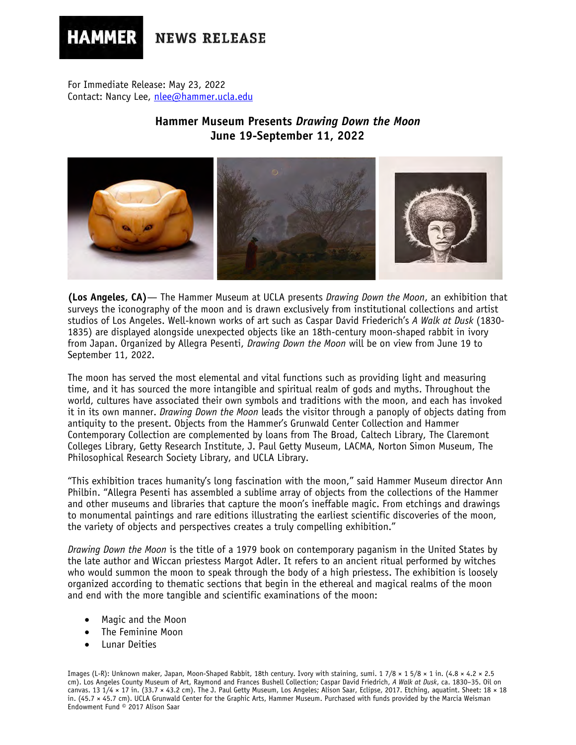# **NEWS RELEASE**

For Immediate Release: May 23, 2022 Contact: Nancy Lee, [nlee@hammer.ucla.edu](mailto:nlee@hammer.ucla.edu)

**HAMMER** 

# **Hammer Museum Presents** *Drawing Down the Moon* **June 19-September 11, 2022**



**(Los Angeles, CA)**— The Hammer Museum at UCLA presents *Drawing Down the Moon*, an exhibition that surveys the iconography of the moon and is drawn exclusively from institutional collections and artist studios of Los Angeles. Well-known works of art such as Caspar David Friederich's *A Walk at Dusk* (1830- 1835) are displayed alongside unexpected objects like an 18th-century moon-shaped rabbit in ivory from Japan. Organized by Allegra Pesenti, *Drawing Down the Moon* will be on view from June 19 to September 11, 2022.

The moon has served the most elemental and vital functions such as providing light and measuring time, and it has sourced the more intangible and spiritual realm of gods and myths. Throughout the world, cultures have associated their own symbols and traditions with the moon, and each has invoked it in its own manner. *Drawing Down the Moon* leads the visitor through a panoply of objects dating from antiquity to the present. Objects from the Hammer's Grunwald Center Collection and Hammer Contemporary Collection are complemented by loans from The Broad, Caltech Library, The Claremont Colleges Library, Getty Research Institute, J. Paul Getty Museum, LACMA, Norton Simon Museum, The Philosophical Research Society Library, and UCLA Library.

"This exhibition traces humanity's long fascination with the moon," said Hammer Museum director Ann Philbin. "Allegra Pesenti has assembled a sublime array of objects from the collections of the Hammer and other museums and libraries that capture the moon's ineffable magic. From etchings and drawings to monumental paintings and rare editions illustrating the earliest scientific discoveries of the moon, the variety of objects and perspectives creates a truly compelling exhibition."

*Drawing Down the Moon* is the title of a 1979 book on contemporary paganism in the United States by the late author and Wiccan priestess Margot Adler. It refers to an ancient ritual performed by witches who would summon the moon to speak through the body of a high priestess. The exhibition is loosely organized according to thematic sections that begin in the ethereal and magical realms of the moon and end with the more tangible and scientific examinations of the moon:

- Magic and the Moon
- The Feminine Moon
- Lunar Deities

Images (L-R): Unknown maker, Japan, Moon-Shaped Rabbit, 18th century. Ivory with staining, sumi. 1 7/8 × 1 5/8 × 1 in. (4.8 × 4.2 × 2.5 cm). Los Angeles County Museum of Art, Raymond and Frances Bushell Collection; Caspar David Friedrich, *A Walk at Dusk*, ca. 1830–35. Oil on canvas. 13 1/4 × 17 in. (33.7 × 43.2 cm). The J. Paul Getty Museum, Los Angeles; Alison Saar, Eclipse, 2017. Etching, aquatint. Sheet: 18 × 18 in. (45.7 × 45.7 cm). UCLA Grunwald Center for the Graphic Arts, Hammer Museum. Purchased with funds provided by the Marcia Weisman Endowment Fund © 2017 Alison Saar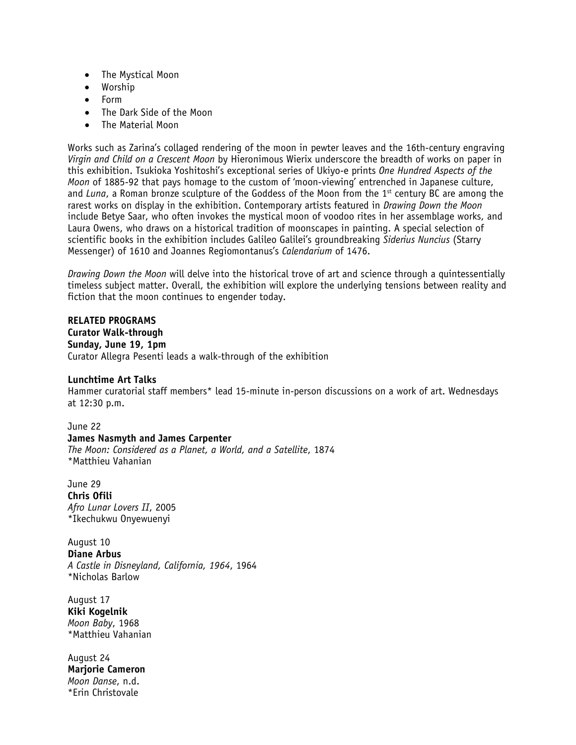- The Mystical Moon
- Worship
- Form
- The Dark Side of the Moon
- The Material Moon

Works such as Zarina's collaged rendering of the moon in pewter leaves and the 16th-century engraving *Virgin and Child on a Crescent Moon* by Hieronimous Wierix underscore the breadth of works on paper in this exhibition. Tsukioka Yoshitoshi's exceptional series of Ukiyo-e prints *One Hundred Aspects of the Moon* of 1885-92 that pays homage to the custom of 'moon-viewing' entrenched in Japanese culture, and *Luna*, a Roman bronze sculpture of the Goddess of the Moon from the 1st century BC are among the rarest works on display in the exhibition. Contemporary artists featured in *Drawing Down the Moon* include Betye Saar, who often invokes the mystical moon of voodoo rites in her assemblage works, and Laura Owens, who draws on a historical tradition of moonscapes in painting. A special selection of scientific books in the exhibition includes Galileo Galilei's groundbreaking *Siderius Nuncius* (Starry Messenger) of 1610 and Joannes Regiomontanus's *Calendarium* of 1476.

*Drawing Down the Moon* will delve into the historical trove of art and science through a quintessentially timeless subject matter. Overall, the exhibition will explore the underlying tensions between reality and fiction that the moon continues to engender today.

## **RELATED PROGRAMS**

**Curator Walk-through Sunday, June 19, 1pm** Curator Allegra Pesenti leads a walk-through of the exhibition

## **Lunchtime Art Talks**

Hammer curatorial staff members\* lead 15-minute in-person discussions on a work of art. Wednesdays at 12:30 p.m.

June 22 **James Nasmyth and James Carpenter** *The Moon: Considered as a Planet, a World, and a Satellite*, 1874 \*Matthieu Vahanian

June 29 **Chris Ofili** *Afro Lunar Lovers II*, 2005 \*Ikechukwu Onyewuenyi

August 10 **Diane Arbus** *A Castle in Disneyland, California, 1964*, 1964 \*Nicholas Barlow

August 17 **Kiki Kogelnik** *Moon Baby*, 1968 \*Matthieu Vahanian

August 24 **Marjorie Cameron** *Moon Danse*, n.d. \*Erin Christovale